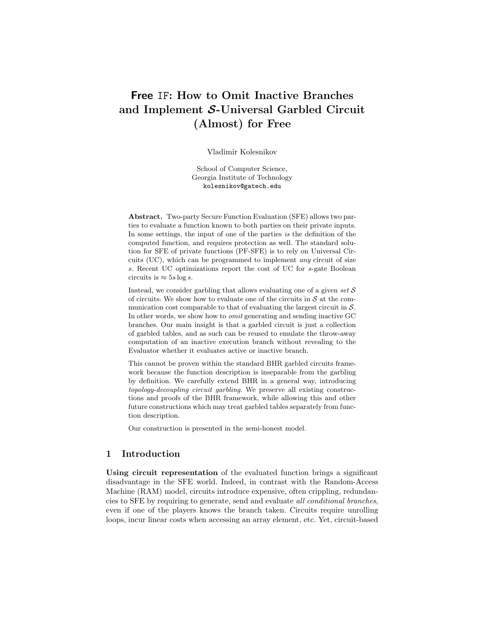# <span id="page-0-0"></span>Free IF: How to Omit Inactive Branches and Implement S-Universal Garbled Circuit (Almost) for Free

Vladimir Kolesnikov

School of Computer Science, Georgia Institute of Technology kolesnikov@gatech.edu

Abstract. Two-party Secure Function Evaluation (SFE) allows two parties to evaluate a function known to both parties on their private inputs. In some settings, the input of one of the parties is the definition of the computed function, and requires protection as well. The standard solution for SFE of private functions (PF-SFE) is to rely on Universal Circuits (UC), which can be programmed to implement any circuit of size s. Recent UC optimizations report the cost of UC for s-gate Boolean circuits is  $\approx 5s \log s$ .

Instead, we consider garbling that allows evaluating one of a given set  $S$ of circuits. We show how to evaluate one of the circuits in  $S$  at the communication cost comparable to that of evaluating the largest circuit in  $S$ . In other words, we show how to *omit* generating and sending inactive GC branches. Our main insight is that a garbled circuit is just a collection of garbled tables, and as such can be reused to emulate the throw-away computation of an inactive execution branch without revealing to the Evaluator whether it evaluates active or inactive branch.

This cannot be proven within the standard BHR garbled circuits framework because the function description is inseparable from the garbling by definition. We carefully extend BHR in a general way, introducing topology-decoupling circuit garbling. We preserve all existing constructions and proofs of the BHR framework, while allowing this and other future constructions which may treat garbled tables separately from function description.

Our construction is presented in the semi-honest model.

# 1 Introduction

Using circuit representation of the evaluated function brings a significant disadvantage in the SFE world. Indeed, in contrast with the Random-Access Machine (RAM) model, circuits introduce expensive, often crippling, redundancies to SFE by requiring to generate, send and evaluate all conditional branches, even if one of the players knows the branch taken. Circuits require unrolling loops, incur linear costs when accessing an array element, etc. Yet, circuit-based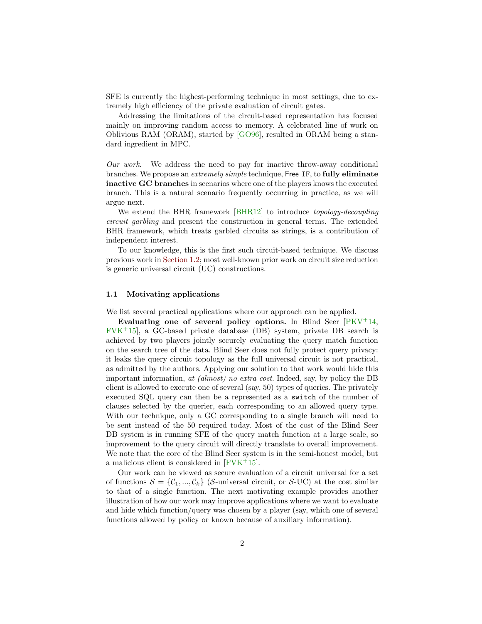SFE is currently the highest-performing technique in most settings, due to extremely high efficiency of the private evaluation of circuit gates.

Addressing the limitations of the circuit-based representation has focused mainly on improving random access to memory. A celebrated line of work on Oblivious RAM (ORAM), started by [\[GO96\]](#page-0-0), resulted in ORAM being a standard ingredient in MPC.

Our work. We address the need to pay for inactive throw-away conditional branches. We propose an extremely simple technique, Free IF, to fully eliminate inactive GC branches in scenarios where one of the players knows the executed branch. This is a natural scenario frequently occurring in practice, as we will argue next.

We extend the BHR framework [\[BHR12\]](#page-0-0) to introduce *topology-decoupling* circuit garbling and present the construction in general terms. The extended BHR framework, which treats garbled circuits as strings, is a contribution of independent interest.

To our knowledge, this is the first such circuit-based technique. We discuss previous work in [Section 1.2;](#page-3-0) most well-known prior work on circuit size reduction is generic universal circuit (UC) constructions.

## 1.1 Motivating applications

We list several practical applications where our approach can be applied.

Evaluating one of several policy options. In Blind Seer  $[PKV^+14,$  $[PKV^+14,$ [FVK](#page-0-0)+15], a GC-based private database (DB) system, private DB search is achieved by two players jointly securely evaluating the query match function on the search tree of the data. Blind Seer does not fully protect query privacy: it leaks the query circuit topology as the full universal circuit is not practical, as admitted by the authors. Applying our solution to that work would hide this important information, at (almost) no extra cost. Indeed, say, by policy the DB client is allowed to execute one of several (say, 50) types of queries. The privately executed SQL query can then be a represented as a switch of the number of clauses selected by the querier, each corresponding to an allowed query type. With our technique, only a GC corresponding to a single branch will need to be sent instead of the 50 required today. Most of the cost of the Blind Seer DB system is in running SFE of the query match function at a large scale, so improvement to the query circuit will directly translate to overall improvement. We note that the core of the Blind Seer system is in the semi-honest model, but a malicious client is considered in [\[FVK](#page-0-0)<sup>+</sup>15].

Our work can be viewed as secure evaluation of a circuit universal for a set of functions  $S = \{C_1, ..., C_k\}$  (S-universal circuit, or S-UC) at the cost similar to that of a single function. The next motivating example provides another illustration of how our work may improve applications where we want to evaluate and hide which function/query was chosen by a player (say, which one of several functions allowed by policy or known because of auxiliary information).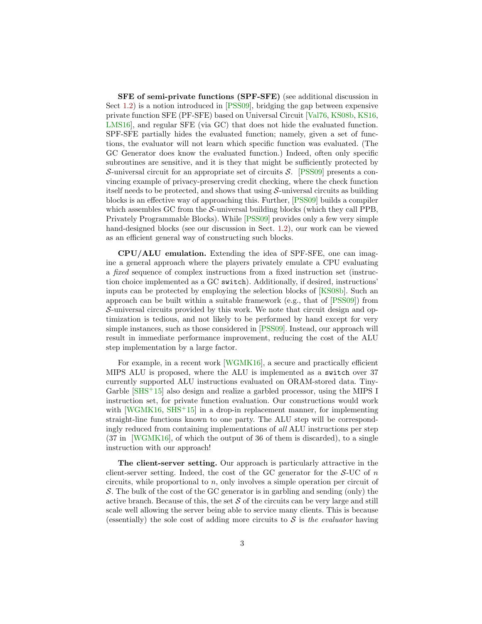SFE of semi-private functions (SPF-SFE) (see additional discussion in Sect [1.2\)](#page-3-0) is a notion introduced in [\[PSS09\]](#page-0-0), bridging the gap between expensive private function SFE (PF-SFE) based on Universal Circuit [\[Val76,](#page-0-0) [KS08b,](#page-0-0) [KS16,](#page-0-0) [LMS16\]](#page-0-0), and regular SFE (via GC) that does not hide the evaluated function. SPF-SFE partially hides the evaluated function; namely, given a set of functions, the evaluator will not learn which specific function was evaluated. (The GC Generator does know the evaluated function.) Indeed, often only specific subroutines are sensitive, and it is they that might be sufficiently protected by S-universal circuit for an appropriate set of circuits S. [\[PSS09\]](#page-0-0) presents a convincing example of privacy-preserving credit checking, where the check function itself needs to be protected, and shows that using  $S$ -universal circuits as building blocks is an effective way of approaching this. Further, [\[PSS09\]](#page-0-0) builds a compiler which assembles GC from the  $S$ -universal building blocks (which they call PPB, Privately Programmable Blocks). While [\[PSS09\]](#page-0-0) provides only a few very simple hand-designed blocks (see our discussion in Sect. [1.2\)](#page-3-0), our work can be viewed as an efficient general way of constructing such blocks.

CPU/ALU emulation. Extending the idea of SPF-SFE, one can imagine a general approach where the players privately emulate a CPU evaluating a fixed sequence of complex instructions from a fixed instruction set (instruction choice implemented as a GC switch). Additionally, if desired, instructions' inputs can be protected by employing the selection blocks of [\[KS08b\]](#page-0-0). Such an approach can be built within a suitable framework (e.g., that of [\[PSS09\]](#page-0-0)) from S-universal circuits provided by this work. We note that circuit design and optimization is tedious, and not likely to be performed by hand except for very simple instances, such as those considered in [\[PSS09\]](#page-0-0). Instead, our approach will result in immediate performance improvement, reducing the cost of the ALU step implementation by a large factor.

For example, in a recent work [\[WGMK16\]](#page-0-0), a secure and practically efficient MIPS ALU is proposed, where the ALU is implemented as a switch over 37 currently supported ALU instructions evaluated on ORAM-stored data. Tiny-Garble  $[SHS^+15]$  $[SHS^+15]$  also design and realize a garbled processor, using the MIPS I instruction set, for private function evaluation. Our constructions would work with  $[WGMK16, SHS<sup>+</sup>15]$  $[WGMK16, SHS<sup>+</sup>15]$  $[WGMK16, SHS<sup>+</sup>15]$  $[WGMK16, SHS<sup>+</sup>15]$  in a drop-in replacement manner, for implementing straight-line functions known to one party. The ALU step will be correspondingly reduced from containing implementations of all ALU instructions per step (37 in [\[WGMK16\]](#page-0-0), of which the output of 36 of them is discarded), to a single instruction with our approach!

The client-server setting. Our approach is particularly attractive in the client-server setting. Indeed, the cost of the GC generator for the  $S$ -UC of n circuits, while proportional to  $n$ , only involves a simple operation per circuit of S. The bulk of the cost of the GC generator is in garbling and sending (only) the active branch. Because of this, the set  $\mathcal S$  of the circuits can be very large and still scale well allowing the server being able to service many clients. This is because (essentially) the sole cost of adding more circuits to  $S$  is the evaluator having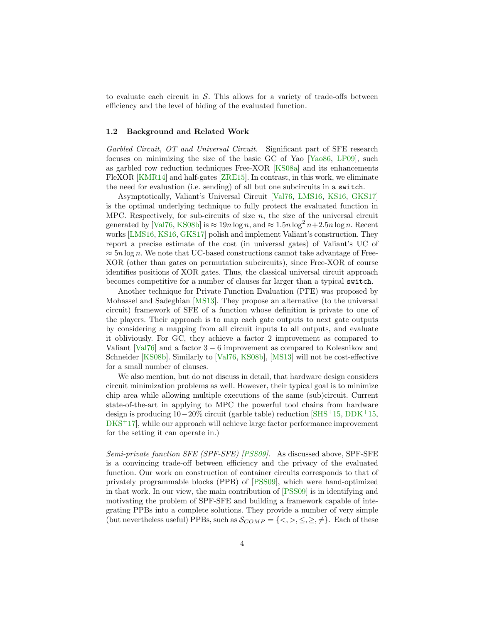to evaluate each circuit in  $S$ . This allows for a variety of trade-offs between efficiency and the level of hiding of the evaluated function.

## <span id="page-3-0"></span>1.2 Background and Related Work

Garbled Circuit, OT and Universal Circuit. Significant part of SFE research focuses on minimizing the size of the basic GC of Yao [\[Yao86,](#page-0-0) [LP09\]](#page-0-0), such as garbled row reduction techniques Free-XOR [\[KS08a\]](#page-0-0) and its enhancements FleXOR [\[KMR14\]](#page-0-0) and half-gates [\[ZRE15\]](#page-0-0). In contrast, in this work, we eliminate the need for evaluation (i.e. sending) of all but one subcircuits in a switch.

Asymptotically, Valiant's Universal Circuit [\[Val76,](#page-0-0) [LMS16,](#page-0-0) [KS16,](#page-0-0) [GKS17\]](#page-0-0) is the optimal underlying technique to fully protect the evaluated function in MPC. Respectively, for sub-circuits of size  $n$ , the size of the universal circuit generated by [\[Val76,](#page-0-0) [KS08b\]](#page-0-0) is  $\approx 19n \log n$ , and  $\approx 1.5n \log^2 n + 2.5n \log n$ . Recent works [\[LMS16,](#page-0-0) [KS16,](#page-0-0) [GKS17\]](#page-0-0) polish and implement Valiant's construction. They report a precise estimate of the cost (in universal gates) of Valiant's UC of  $\approx 5n \log n$ . We note that UC-based constructions cannot take advantage of Free-XOR (other than gates on permutation subcircuits), since Free-XOR of course identifies positions of XOR gates. Thus, the classical universal circuit approach becomes competitive for a number of clauses far larger than a typical switch.

Another technique for Private Function Evaluation (PFE) was proposed by Mohassel and Sadeghian [\[MS13\]](#page-0-0). They propose an alternative (to the universal circuit) framework of SFE of a function whose definition is private to one of the players. Their approach is to map each gate outputs to next gate outputs by considering a mapping from all circuit inputs to all outputs, and evaluate it obliviously. For GC, they achieve a factor 2 improvement as compared to Valiant [\[Val76\]](#page-0-0) and a factor 3 − 6 improvement as compared to Kolesnikov and Schneider [\[KS08b\]](#page-0-0). Similarly to [\[Val76,](#page-0-0) [KS08b\]](#page-0-0), [\[MS13\]](#page-0-0) will not be cost-effective for a small number of clauses.

We also mention, but do not discuss in detail, that hardware design considers circuit minimization problems as well. However, their typical goal is to minimize chip area while allowing multiple executions of the same (sub)circuit. Current state-of-the-art in applying to MPC the powerful tool chains from hardware design is producing  $10-20\%$  circuit (garble table) reduction [\[SHS](#page-0-0)+15, [DDK](#page-0-0)+15, [DKS](#page-0-0)<sup>+</sup>17], while our approach will achieve large factor performance improvement for the setting it can operate in.)

Semi-private function SFE (SPF-SFE) [\[PSS09\]](#page-0-0). As discussed above, SPF-SFE is a convincing trade-off between efficiency and the privacy of the evaluated function. Our work on construction of container circuits corresponds to that of privately programmable blocks (PPB) of [\[PSS09\]](#page-0-0), which were hand-optimized in that work. In our view, the main contribution of [\[PSS09\]](#page-0-0) is in identifying and motivating the problem of SPF-SFE and building a framework capable of integrating PPBs into a complete solutions. They provide a number of very simple (but nevertheless useful) PPBs, such as  $\mathcal{S}_{COMP} = \{ \langle \rangle, \rangle, \langle \rangle, \rangle \}$ . Each of these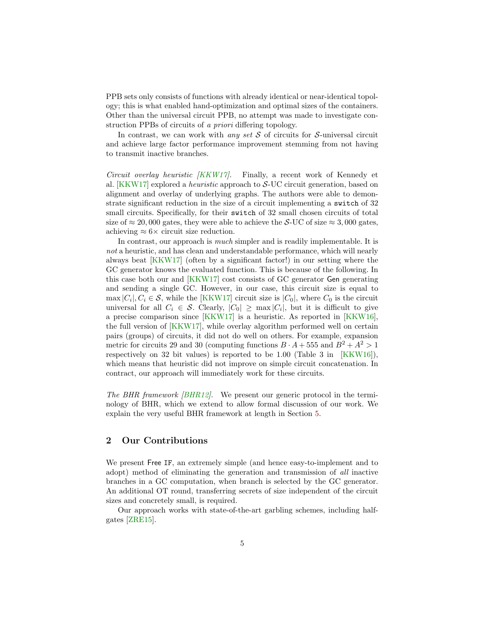PPB sets only consists of functions with already identical or near-identical topology; this is what enabled hand-optimization and optimal sizes of the containers. Other than the universal circuit PPB, no attempt was made to investigate construction PPBs of circuits of a priori differing topology.

In contrast, we can work with *any set*  $S$  of circuits for  $S$ -universal circuit and achieve large factor performance improvement stemming from not having to transmit inactive branches.

Circuit overlay heuristic  $[KKW17]$ . Finally, a recent work of Kennedy et al. [\[KKW17\]](#page-0-0) explored a *heuristic* approach to  $S$ -UC circuit generation, based on alignment and overlay of underlying graphs. The authors were able to demonstrate significant reduction in the size of a circuit implementing a switch of 32 small circuits. Specifically, for their switch of 32 small chosen circuits of total size of  $\approx 20,000$  gates, they were able to achieve the S-UC of size  $\approx 3,000$  gates, achieving  $\approx 6 \times$  circuit size reduction.

In contrast, our approach is much simpler and is readily implementable. It is not a heuristic, and has clean and understandable performance, which will nearly always beat [\[KKW17\]](#page-0-0) (often by a significant factor!) in our setting where the GC generator knows the evaluated function. This is because of the following. In this case both our and [\[KKW17\]](#page-0-0) cost consists of GC generator Gen generating and sending a single GC. However, in our case, this circuit size is equal to  $\max |C_i|, C_i \in \mathcal{S}$ , while the [\[KKW17\]](#page-0-0) circuit size is  $|C_0|$ , where  $C_0$  is the circuit universal for all  $C_i \in \mathcal{S}$ . Clearly,  $|C_0| \geq \max |C_i|$ , but it is difficult to give a precise comparison since [\[KKW17\]](#page-0-0) is a heuristic. As reported in [\[KKW16\]](#page-0-0), the full version of [\[KKW17\]](#page-0-0), while overlay algorithm performed well on certain pairs (groups) of circuits, it did not do well on others. For example, expansion metric for circuits 29 and 30 (computing functions  $B \cdot A + 555$  and  $B^2 + A^2 > 1$ respectively on 32 bit values) is reported to be 1.00 (Table 3 in [\[KKW16\]](#page-0-0)), which means that heuristic did not improve on simple circuit concatenation. In contract, our approach will immediately work for these circuits.

The BHR framework [\[BHR12\]](#page-0-0). We present our generic protocol in the terminology of BHR, which we extend to allow formal discussion of our work. We explain the very useful BHR framework at length in Section [5.](#page-8-0)

# 2 Our Contributions

We present Free IF, an extremely simple (and hence easy-to-implement and to adopt) method of eliminating the generation and transmission of all inactive branches in a GC computation, when branch is selected by the GC generator. An additional OT round, transferring secrets of size independent of the circuit sizes and concretely small, is required.

Our approach works with state-of-the-art garbling schemes, including halfgates [\[ZRE15\]](#page-0-0).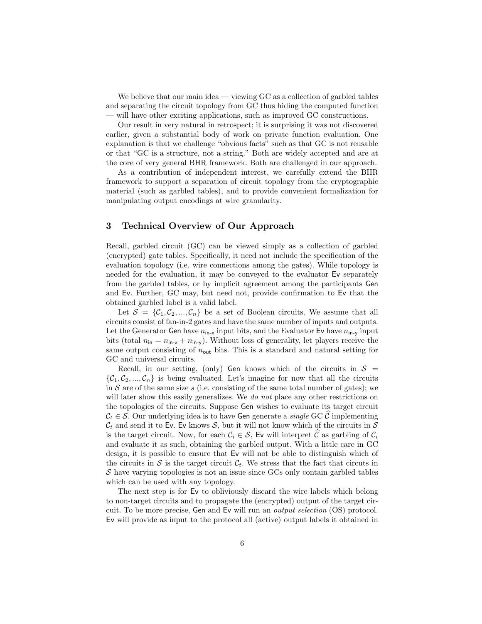We believe that our main idea — viewing GC as a collection of garbled tables and separating the circuit topology from GC thus hiding the computed function will have other exciting applications, such as improved GC constructions.

Our result in very natural in retrospect; it is surprising it was not discovered earlier, given a substantial body of work on private function evaluation. One explanation is that we challenge "obvious facts" such as that GC is not reusable or that "GC is a structure, not a string." Both are widely accepted and are at the core of very general BHR framework. Both are challenged in our approach.

As a contribution of independent interest, we carefully extend the BHR framework to support a separation of circuit topology from the cryptographic material (such as garbled tables), and to provide convenient formalization for manipulating output encodings at wire granularity.

## <span id="page-5-0"></span>3 Technical Overview of Our Approach

Recall, garbled circuit (GC) can be viewed simply as a collection of garbled (encrypted) gate tables. Specifically, it need not include the specification of the evaluation topology (i.e. wire connections among the gates). While topology is needed for the evaluation, it may be conveyed to the evaluator Ev separately from the garbled tables, or by implicit agreement among the participants Gen and Ev. Further, GC may, but need not, provide confirmation to Ev that the obtained garbled label is a valid label.

Let  $S = \{C_1, C_2, ..., C_n\}$  be a set of Boolean circuits. We assume that all circuits consist of fan-in-2 gates and have the same number of inputs and outputs. Let the Generator Gen have  $n_{\text{in-}x}$  input bits, and the Evaluator Ev have  $n_{\text{in-}y}$  input bits (total  $n_{\text{in}} = n_{\text{in-x}} + n_{\text{in-y}}$ ). Without loss of generality, let players receive the same output consisting of  $n_{\text{out}}$  bits. This is a standard and natural setting for GC and universal circuits.

Recall, in our setting, (only) Gen knows which of the circuits in  $S =$  $\{\mathcal{C}_1,\mathcal{C}_2,...,\mathcal{C}_n\}$  is being evaluated. Let's imagine for now that all the circuits in  $S$  are of the same size s (i.e. consisting of the same total number of gates); we will later show this easily generalizes. We do not place any other restrictions on the topologies of the circuits. Suppose Gen wishes to evaluate its target circuit  $C_t \in \mathcal{S}$ . Our underlying idea is to have Gen generate a *single* GC  $\widehat{\mathcal{C}}$  implementing  $\mathcal{C}_t$  and send it to Ev. Ev knows S, but it will not know which of the circuits in S is the target circuit. Now, for each  $C_i \in S$ , Ev will interpret C as garbling of  $C_i$ and evaluate it as such, obtaining the garbled output. With a little care in GC design, it is possible to ensure that Ev will not be able to distinguish which of the circuits in S is the target circuit  $C_t$ . We stress that the fact that circuts in  $S$  have varying topologies is not an issue since GCs only contain garbled tables which can be used with any topology.

The next step is for Ev to obliviously discard the wire labels which belong to non-target circuits and to propagate the (encrypted) output of the target circuit. To be more precise, Gen and Ev will run an output selection (OS) protocol. Ev will provide as input to the protocol all (active) output labels it obtained in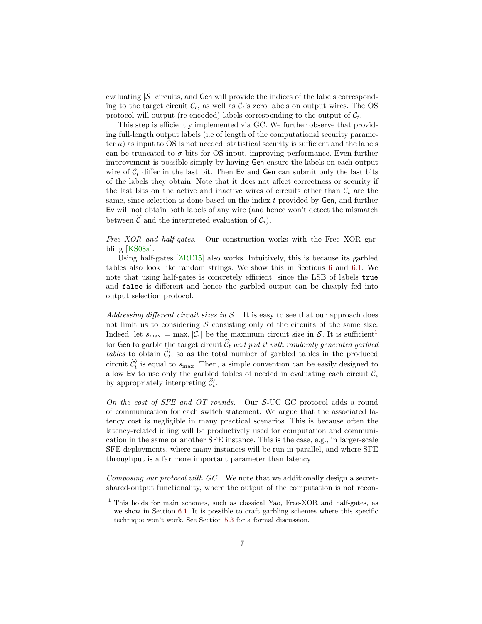evaluating  $|\mathcal{S}|$  circuits, and Gen will provide the indices of the labels corresponding to the target circuit  $\mathcal{C}_t$ , as well as  $\mathcal{C}_t$ 's zero labels on output wires. The OS protocol will output (re-encoded) labels corresponding to the output of  $\mathcal{C}_t$ .

This step is efficiently implemented via GC. We further observe that providing full-length output labels (i.e of length of the computational security parameter  $\kappa$ ) as input to OS is not needed; statistical security is sufficient and the labels can be truncated to  $\sigma$  bits for OS input, improving performance. Even further improvement is possible simply by having Gen ensure the labels on each output wire of  $C_t$  differ in the last bit. Then Ev and Gen can submit only the last bits of the labels they obtain. Note that it does not affect correctness or security if the last bits on the active and inactive wires of circuits other than  $\mathcal{C}_t$  are the same, since selection is done based on the index  $t$  provided by Gen, and further Ev will not obtain both labels of any wire (and hence won't detect the mismatch between  $\widehat{\mathcal{C}}$  and the interpreted evaluation of  $\mathcal{C}_i$ ).

Free XOR and half-gates. Our construction works with the Free XOR garbling [\[KS08a\]](#page-0-0).

Using half-gates [\[ZRE15\]](#page-0-0) also works. Intuitively, this is because its garbled tables also look like random strings. We show this in Sections [6](#page-17-0) and [6.1.](#page-20-0) We note that using half-gates is concretely efficient, since the LSB of labels true and false is different and hence the garbled output can be cheaply fed into output selection protocol.

Addressing different circuit sizes in  $S$ . It is easy to see that our approach does not limit us to considering  $S$  consisting only of the circuits of the same size. Indeed, let  $s_{\text{max}} = \max_i |\mathcal{C}_i|$  be the maximum circuit size in S. It is sufficient<sup>[1](#page-6-0)</sup> for Gen to garble the target circuit  $\hat{C}_t$  and pad it with randomly generated garbled tables to obtain  $\hat{C}_t$ , so as the total number of garbled tables in the produced circuit  $\hat{C}_t$  is equal to  $s_{\text{max}}$ . Then, a simple convention can be easily designed to allow Ev to use only the garbled tables of needed in evaluating each circuit  $C_i$ by appropriately interpreting  $\hat{\mathcal{C}}'_t$ .

On the cost of SFE and OT rounds. Our S-UC GC protocol adds a round of communication for each switch statement. We argue that the associated latency cost is negligible in many practical scenarios. This is because often the latency-related idling will be productively used for computation and communication in the same or another SFE instance. This is the case, e.g., in larger-scale SFE deployments, where many instances will be run in parallel, and where SFE throughput is a far more important parameter than latency.

Composing our protocol with GC. We note that we additionally design a secretshared-output functionality, where the output of the computation is not recon-

<span id="page-6-0"></span><sup>&</sup>lt;sup>1</sup> This holds for main schemes, such as classical Yao, Free-XOR and half-gates, as we show in Section [6.1.](#page-20-0) It is possible to craft garbling schemes where this specific technique won't work. See Section [5.3](#page-13-0) for a formal discussion.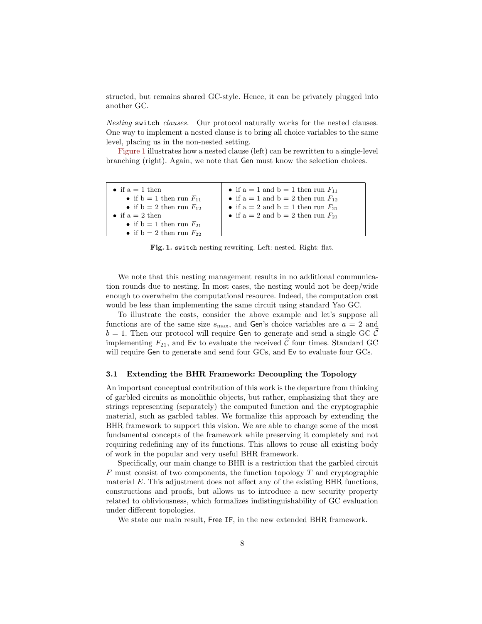structed, but remains shared GC-style. Hence, it can be privately plugged into another GC.

Nesting switch clauses. Our protocol naturally works for the nested clauses. One way to implement a nested clause is to bring all choice variables to the same level, placing us in the non-nested setting.

[Figure 1](#page-7-0) illustrates how a nested clause (left) can be rewritten to a single-level branching (right). Again, we note that Gen must know the selection choices.

| • if $a = 1$ then              | • if $a = 1$ and $b = 1$ then run $F_{11}$ |
|--------------------------------|--------------------------------------------|
| • if $b = 1$ then run $F_{11}$ | • if $a = 1$ and $b = 2$ then run $F_{12}$ |
| • if $b = 2$ then run $F_{12}$ | • if $a = 2$ and $b = 1$ then run $F_{21}$ |
| • if $a = 2$ then              | • if $a = 2$ and $b = 2$ then run $F_{21}$ |
| • if $b = 1$ then run $F_{21}$ |                                            |
| • if $b = 2$ then run $F_{22}$ |                                            |

<span id="page-7-0"></span>Fig. 1. switch nesting rewriting. Left: nested. Right: flat.

We note that this nesting management results in no additional communication rounds due to nesting. In most cases, the nesting would not be deep/wide enough to overwhelm the computational resource. Indeed, the computation cost would be less than implementing the same circuit using standard Yao GC.

To illustrate the costs, consider the above example and let's suppose all functions are of the same size  $s_{\text{max}}$ , and Gen's choice variables are  $a = 2$  and  $b = 1$ . Then our protocol will require Gen to generate and send a single GC  $\tilde{C}$ implementing  $F_{21}$ , and Ev to evaluate the received C four times. Standard GC will require Gen to generate and send four GCs, and Ev to evaluate four GCs.

## 3.1 Extending the BHR Framework: Decoupling the Topology

An important conceptual contribution of this work is the departure from thinking of garbled circuits as monolithic objects, but rather, emphasizing that they are strings representing (separately) the computed function and the cryptographic material, such as garbled tables. We formalize this approach by extending the BHR framework to support this vision. We are able to change some of the most fundamental concepts of the framework while preserving it completely and not requiring redefining any of its functions. This allows to reuse all existing body of work in the popular and very useful BHR framework.

Specifically, our main change to BHR is a restriction that the garbled circuit  $F$  must consist of two components, the function topology  $T$  and cryptographic material E. This adjustment does not affect any of the existing BHR functions, constructions and proofs, but allows us to introduce a new security property related to obliviousness, which formalizes indistinguishability of GC evaluation under different topologies.

We state our main result, Free IF, in the new extended BHR framework.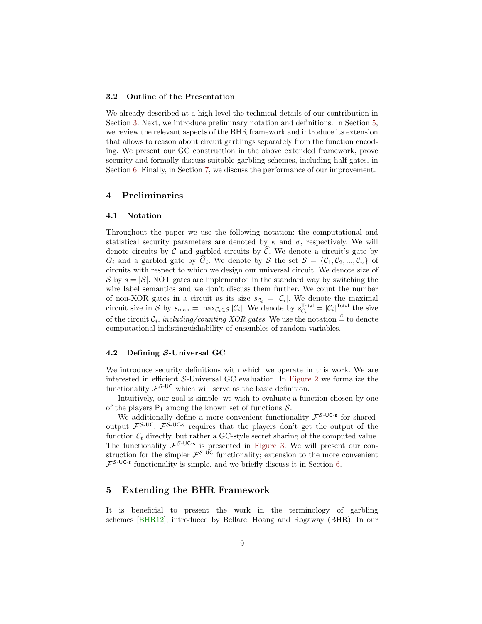#### 3.2 Outline of the Presentation

We already described at a high level the technical details of our contribution in Section [3.](#page-5-0) Next, we introduce preliminary notation and definitions. In Section [5,](#page-8-0) we review the relevant aspects of the BHR framework and introduce its extension that allows to reason about circuit garblings separately from the function encoding. We present our GC construction in the above extended framework, prove security and formally discuss suitable garbling schemes, including half-gates, in Section [6.](#page-17-0) Finally, in Section [7,](#page-22-0) we discuss the performance of our improvement.

## 4 Preliminaries

## 4.1 Notation

Throughout the paper we use the following notation: the computational and statistical security parameters are denoted by  $\kappa$  and  $\sigma$ , respectively. We will denote circuits by  $\mathcal C$  and garbled circuits by  $\mathcal C$ . We denote a circuit's gate by  $G_i$  and a garbled gate by  $G_i$ . We denote by S the set  $S = \{C_1, C_2, ..., C_n\}$  of circuits with respect to which we design our universal circuit. We denote size of  $\mathcal{S}$  by  $s = |\mathcal{S}|$ . NOT gates are implemented in the standard way by switching the wire label semantics and we don't discuss them further. We count the number of non-XOR gates in a circuit as its size  $s_{\mathcal{C}_i} = |\mathcal{C}_i|$ . We denote the maximal circuit size in S by  $s_{\text{max}} = \max_{\mathcal{C}_i \in \mathcal{S}} |\mathcal{C}_i|$ . We denote by  $s_{\mathcal{C}_i}^{\text{Total}} = |\mathcal{C}_i|^{\text{Total}}$  the size of the circuit  $\mathcal{C}_i$ , including/counting XOR gates. We use the notation  $\stackrel{c}{=}$  to denote computational indistinguishability of ensembles of random variables.

#### 4.2 Defining S-Universal GC

We introduce security definitions with which we operate in this work. We are interested in efficient  $S$ -Universal GC evaluation. In [Figure 2](#page-9-0) we formalize the functionality  $\mathcal{F}^{\mathcal{S}-\mathsf{UC}}$  which will serve as the basic definition.

Intuitively, our goal is simple: we wish to evaluate a function chosen by one of the players  $P_1$  among the known set of functions  $S$ .

We additionally define a more convenient functionality  $\mathcal{F}^{\mathcal{S}-\mathsf{UC}\text{-}\mathsf{s}}$  for sharedoutput  $\mathcal{F}^{\mathcal{S}-\mathsf{UC}}$ .  $\mathcal{F}^{\mathcal{S}-\mathsf{UC}\text{-}\mathsf{s}}$  requires that the players don't get the output of the function  $C_t$  directly, but rather a GC-style secret sharing of the computed value. The functionality  $\mathcal{F}^{\mathcal{S}-\mathsf{UC}\text{-}\mathsf{s}}$  is presented in [Figure 3.](#page-9-1) We will present our construction for the simpler  $\mathcal{F}^{\mathcal{S}-\mathsf{UC}}$  functionality; extension to the more convenient  $\mathcal{F}^{\mathcal{S}-\mathsf{UC}\text{-}\mathsf{s}}$  functionality is simple, and we briefly discuss it in Section [6.](#page-17-0)

# <span id="page-8-0"></span>5 Extending the BHR Framework

It is beneficial to present the work in the terminology of garbling schemes [\[BHR12\]](#page-0-0), introduced by Bellare, Hoang and Rogaway (BHR). In our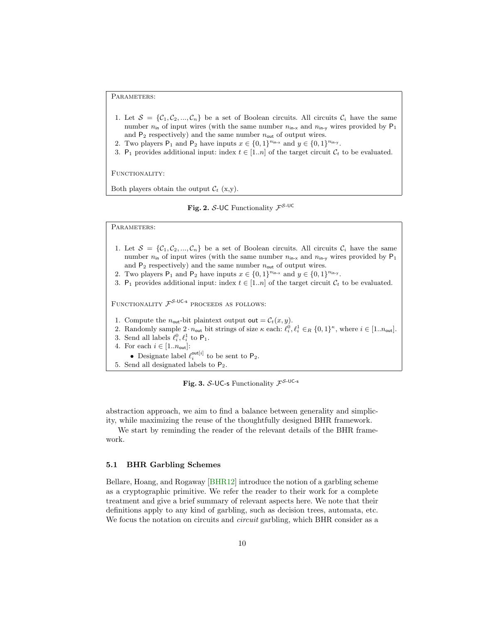PARAMETERS:

- 1. Let  $S = \{C_1, C_2, ..., C_n\}$  be a set of Boolean circuits. All circuits  $C_i$  have the same number  $n_{\text{in}}$  of input wires (with the same number  $n_{\text{in-}x}$  and  $n_{\text{in-}y}$  wires provided by  $P_1$ and  $P_2$  respectively) and the same number  $n_{\text{out}}$  of output wires.
- 2. Two players  $P_1$  and  $P_2$  have inputs  $x \in \{0,1\}^{n_{\text{in-x}}}$  and  $y \in \{0,1\}^{n_{\text{in-y}}}.$
- 3. P<sub>1</sub> provides additional input: index  $t \in [1..n]$  of the target circuit  $C_t$  to be evaluated.

FUNCTIONALITY:

<span id="page-9-0"></span>Both players obtain the output  $C_t$  (x,y).

**Fig. 2.** S-UC Functionality  $\mathcal{F}^{\mathcal{S}\text{-UC}}$ 

PARAMETERS:

- 1. Let  $S = \{C_1, C_2, ..., C_n\}$  be a set of Boolean circuits. All circuits  $C_i$  have the same number  $n_{\text{in}}$  of input wires (with the same number  $n_{\text{in-x}}$  and  $n_{\text{in-y}}$  wires provided by  $P_1$ and  $P_2$  respectively) and the same number  $n_{\text{out}}$  of output wires.
- 2. Two players  $P_1$  and  $P_2$  have inputs  $x \in \{0,1\}^{n_{\text{in-x}}}$  and  $y \in \{0,1\}^{n_{\text{in-y}}}.$
- 3. P<sub>1</sub> provides additional input: index  $t \in [1..n]$  of the target circuit  $\mathcal{C}_t$  to be evaluated.

FUNCTIONALITY  $\mathcal{F}^{\mathcal{S}-\mathsf{UC}\text{-}\mathsf{s}}$  proceeds as follows:

- 1. Compute the  $n_{\text{out}}$ -bit plaintext output out =  $\mathcal{C}_t(x, y)$ .
- 2. Randomly sample  $2 \cdot n_{\text{out}}$  bit strings of size  $\kappa$  each:  $\ell_i^0, \ell_i^1 \in_R \{0,1\}^{\kappa}$ , where  $i \in [1..n_{\text{out}}]$ .
- 3. Send all labels  $\ell_i^0, \ell_i^1$  to  $P_1$ .
- 4. For each  $i \in [1..n_{\mathsf{out}}]$  :
	- Designate label  $\ell_i^{\text{out}[i]}$  to be sent to P<sub>2</sub>.
- <span id="page-9-1"></span>5. Send all designated labels to  $P_2$ .

Fig. 3. S-UC-s Functionality  $\mathcal{F}^{\mathcal{S}\text{-}\mathsf{UC}\text{-}\mathsf{s}}$ 

abstraction approach, we aim to find a balance between generality and simplicity, while maximizing the reuse of the thoughtfully designed BHR framework.

We start by reminding the reader of the relevant details of the BHR framework.

## 5.1 BHR Garbling Schemes

Bellare, Hoang, and Rogaway [\[BHR12\]](#page-0-0) introduce the notion of a garbling scheme as a cryptographic primitive. We refer the reader to their work for a complete treatment and give a brief summary of relevant aspects here. We note that their definitions apply to any kind of garbling, such as decision trees, automata, etc. We focus the notation on circuits and *circuit* garbling, which BHR consider as a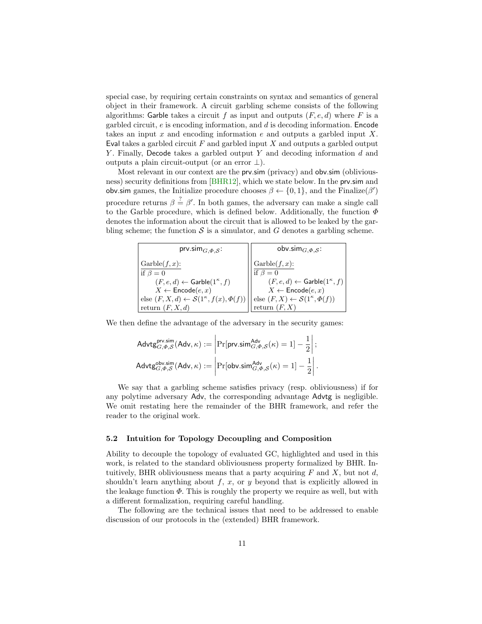special case, by requiring certain constraints on syntax and semantics of general object in their framework. A circuit garbling scheme consists of the following algorithms: Garble takes a circuit f as input and outputs  $(F, e, d)$  where F is a garbled circuit,  $e$  is encoding information, and  $d$  is decoding information. Encode takes an input  $x$  and encoding information  $e$  and outputs a garbled input  $X$ . Eval takes a garbled circuit  $F$  and garbled input  $X$  and outputs a garbled output Y. Finally, Decode takes a garbled output  $Y$  and decoding information  $d$  and outputs a plain circuit-output (or an error  $\perp$ ).

Most relevant in our context are the prv.sim (privacy) and obv.sim (obliviousness) security definitions from [\[BHR12\]](#page-0-0), which we state below. In the prv.sim and obv.sim games, the Initialize procedure chooses  $\beta \leftarrow \{0, 1\}$ , and the Finalize $(\beta')$ procedure returns  $\beta \stackrel{?}{=} \beta'$ . In both games, the adversary can make a single call to the Garble procedure, which is defined below. Additionally, the function  $\Phi$ denotes the information about the circuit that is allowed to be leaked by the garbling scheme; the function  $\mathcal S$  is a simulator, and  $G$  denotes a garbling scheme.

| prv.sim <sub><math>G \Phi S</math></sub> :                         | obv.sim $_{G,\Phi,S}$ :                                   |
|--------------------------------------------------------------------|-----------------------------------------------------------|
| $\text{Garble}(f, x)$ :<br>if $\beta = 0$                          | $\text{Garble}(f, x)$ :<br>if $\beta = 0$                 |
| $(F, e, d) \leftarrow$ Garble $(1^{\kappa}, f)$                    | $(F, e, d) \leftarrow$ Garble $(1^{\kappa}, f)$           |
| $X \leftarrow$ Encode $(e, x)$                                     | $X \leftarrow$ Encode $(e, x)$                            |
| else $(F, X, d) \leftarrow \mathcal{S}(1^{\kappa}, f(x), \Phi(f))$ | else $(F, X) \leftarrow \mathcal{S}(1^{\kappa}, \Phi(f))$ |
| return $(F, X, d)$                                                 | return $(F, X)$                                           |

We then define the advantage of the adversary in the security games:

$$
\begin{aligned}\n\text{Advtg}_{G,\Phi,\mathcal{S}}^{\text{prv.sim}}(\text{Adv},\kappa) &:= \left| \Pr[\text{prv}.\text{sim}_{G,\Phi,\mathcal{S}}^{\text{Adv}}(\kappa) = 1] - \frac{1}{2} \right|; \\
\text{Advtg}_{G,\Phi,\mathcal{S}}^{\text{obv.sim}}(\text{Adv},\kappa) &:= \left| \Pr[\text{obv}.\text{sim}_{G,\Phi,\mathcal{S}}^{\text{Adv}}(\kappa) = 1] - \frac{1}{2} \right|\n\end{aligned}
$$

We say that a garbling scheme satisfies privacy (resp. obliviousness) if for any polytime adversary Adv, the corresponding advantage Advtg is negligible. We omit restating here the remainder of the BHR framework, and refer the reader to the original work.

### <span id="page-10-0"></span>5.2 Intuition for Topology Decoupling and Composition

Ability to decouple the topology of evaluated GC, highlighted and used in this work, is related to the standard obliviousness property formalized by BHR. Intuitively, BHR obliviousness means that a party acquiring  $F$  and  $X$ , but not  $d$ , shouldn't learn anything about  $f, x$ , or  $y$  beyond that is explicitly allowed in the leakage function  $\Phi$ . This is roughly the property we require as well, but with a different formalization, requiring careful handling.

The following are the technical issues that need to be addressed to enable discussion of our protocols in the (extended) BHR framework.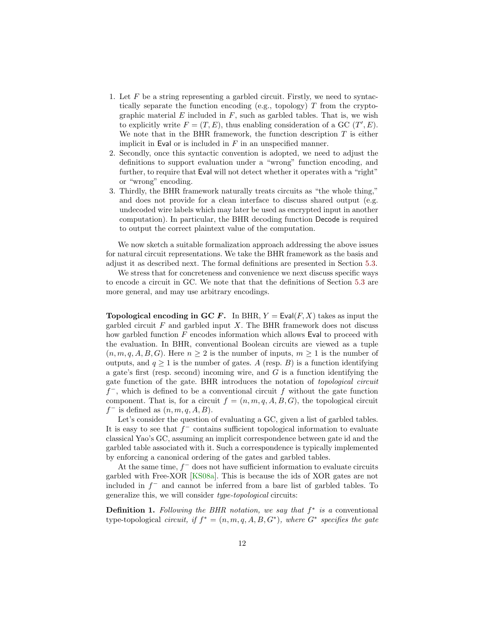- 1. Let F be a string representing a garbled circuit. Firstly, we need to syntactically separate the function encoding (e.g., topology)  $T$  from the cryptographic material  $E$  included in  $F$ , such as garbled tables. That is, we wish to explicitly write  $F = (T, E)$ , thus enabling consideration of a GC  $(T', E)$ . We note that in the BHR framework, the function description  $T$  is either implicit in Eval or is included in  $F$  in an unspecified manner.
- 2. Secondly, once this syntactic convention is adopted, we need to adjust the definitions to support evaluation under a "wrong" function encoding, and further, to require that Eval will not detect whether it operates with a "right" or "wrong" encoding.
- 3. Thirdly, the BHR framework naturally treats circuits as "the whole thing," and does not provide for a clean interface to discuss shared output (e.g. undecoded wire labels which may later be used as encrypted input in another computation). In particular, the BHR decoding function Decode is required to output the correct plaintext value of the computation.

We now sketch a suitable formalization approach addressing the above issues for natural circuit representations. We take the BHR framework as the basis and adjust it as described next. The formal definitions are presented in Section [5.3.](#page-13-0)

We stress that for concreteness and convenience we next discuss specific ways to encode a circuit in GC. We note that that the definitions of Section [5.3](#page-13-0) are more general, and may use arbitrary encodings.

**Topological encoding in GC F.** In BHR,  $Y = \text{Eval}(F, X)$  takes as input the garbled circuit  $F$  and garbled input  $X$ . The BHR framework does not discuss how garbled function  $F$  encodes information which allows Eval to proceed with the evaluation. In BHR, conventional Boolean circuits are viewed as a tuple  $(n, m, q, A, B, G)$ . Here  $n \geq 2$  is the number of inputs,  $m \geq 1$  is the number of outputs, and  $q \geq 1$  is the number of gates. A (resp. B) is a function identifying a gate's first (resp. second) incoming wire, and  $G$  is a function identifying the gate function of the gate. BHR introduces the notation of topological circuit  $f^-$ , which is defined to be a conventional circuit f without the gate function component. That is, for a circuit  $f = (n, m, q, A, B, G)$ , the topological circuit  $f^-$  is defined as  $(n, m, q, A, B)$ .

Let's consider the question of evaluating a GC, given a list of garbled tables. It is easy to see that  $f^-$  contains sufficient topological information to evaluate classical Yao's GC, assuming an implicit correspondence between gate id and the garbled table associated with it. Such a correspondence is typically implemented by enforcing a canonical ordering of the gates and garbled tables.

At the same time,  $f^-$  does not have sufficient information to evaluate circuits garbled with Free-XOR [\[KS08a\]](#page-0-0). This is because the ids of XOR gates are not included in  $f^-$  and cannot be inferred from a bare list of garbled tables. To generalize this, we will consider type-topological circuits:

<span id="page-11-0"></span>**Definition 1.** Following the BHR notation, we say that  $f^*$  is a conventional type-topological circuit, if  $f^* = (n, m, q, A, B, G^*)$ , where  $G^*$  specifies the gate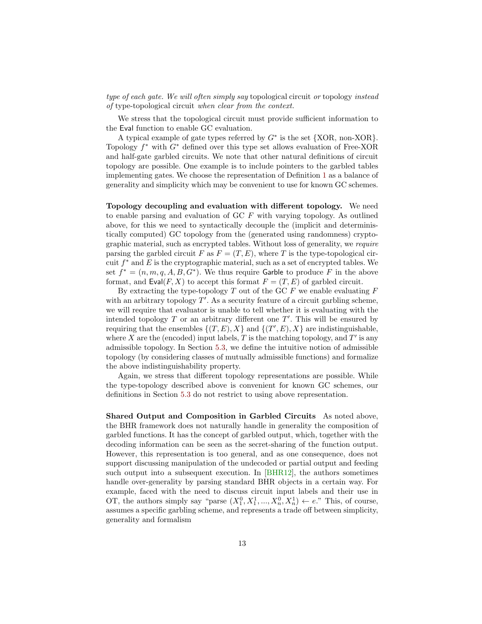type of each gate. We will often simply say topological circuit or topology instead of type-topological circuit when clear from the context.

We stress that the topological circuit must provide sufficient information to the Eval function to enable GC evaluation.

A typical example of gate types referred by  $G^*$  is the set  $\{XOR, non-XOR\}$ . Topology  $f^*$  with  $G^*$  defined over this type set allows evaluation of Free-XOR and half-gate garbled circuits. We note that other natural definitions of circuit topology are possible. One example is to include pointers to the garbled tables implementing gates. We choose the representation of Definition [1](#page-11-0) as a balance of generality and simplicity which may be convenient to use for known GC schemes.

Topology decoupling and evaluation with different topology. We need to enable parsing and evaluation of  $GC \, F$  with varying topology. As outlined above, for this we need to syntactically decouple the (implicit and deterministically computed) GC topology from the (generated using randomness) cryptographic material, such as encrypted tables. Without loss of generality, we require parsing the garbled circuit F as  $F = (T, E)$ , where T is the type-topological circuit  $f^*$  and  $E$  is the cryptographic material, such as a set of encrypted tables. We set  $f^* = (n, m, q, A, B, G^*)$ . We thus require Garble to produce F in the above format, and  $Eval(F, X)$  to accept this format  $F = (T, E)$  of garbled circuit.

By extracting the type-topology  $T$  out of the GC  $F$  we enable evaluating  $F$ with an arbitrary topology  $T'$ . As a security feature of a circuit garbling scheme, we will require that evaluator is unable to tell whether it is evaluating with the intended topology  $T$  or an arbitrary different one  $T'$ . This will be ensured by requiring that the ensembles  $\{(T, E), X\}$  and  $\{(T', E), X\}$  are indistinguishable, where X are the (encoded) input labels,  $T$  is the matching topology, and  $T'$  is any admissible topology. In Section [5.3,](#page-13-0) we define the intuitive notion of admissible topology (by considering classes of mutually admissible functions) and formalize the above indistinguishability property.

Again, we stress that different topology representations are possible. While the type-topology described above is convenient for known GC schemes, our definitions in Section [5.3](#page-13-0) do not restrict to using above representation.

Shared Output and Composition in Garbled Circuits As noted above, the BHR framework does not naturally handle in generality the composition of garbled functions. It has the concept of garbled output, which, together with the decoding information can be seen as the secret-sharing of the function output. However, this representation is too general, and as one consequence, does not support discussing manipulation of the undecoded or partial output and feeding such output into a subsequent execution. In [\[BHR12\]](#page-0-0), the authors sometimes handle over-generality by parsing standard BHR objects in a certain way. For example, faced with the need to discuss circuit input labels and their use in OT, the authors simply say "parse  $(X_1^0, X_1^1, ..., X_n^0, X_n^1) \leftarrow e$ ." This, of course, assumes a specific garbling scheme, and represents a trade off between simplicity, generality and formalism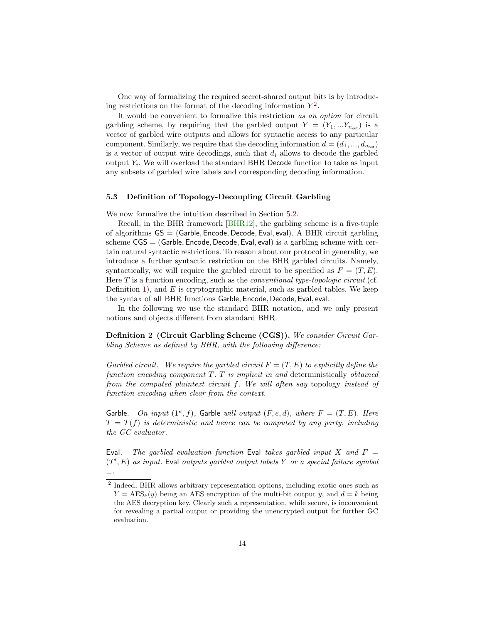One way of formalizing the required secret-shared output bits is by introducing restrictions on the format of the decoding information  $Y^2$  $Y^2$ .

It would be convenient to formalize this restriction as an option for circuit garbling scheme, by requiring that the garbled output  $Y = (Y_1, \ldots, Y_{n_{out}})$  is a vector of garbled wire outputs and allows for syntactic access to any particular component. Similarly, we require that the decoding information  $d = (d_1, ..., d_{n_{out}})$ is a vector of output wire decodings, such that  $d_i$  allows to decode the garbled output  $Y_i$ . We will overload the standard BHR Decode function to take as input any subsets of garbled wire labels and corresponding decoding information.

#### <span id="page-13-0"></span>5.3 Definition of Topology-Decoupling Circuit Garbling

We now formalize the intuition described in Section [5.2.](#page-10-0)

Recall, in the BHR framework [\[BHR12\]](#page-0-0), the garbling scheme is a five-tuple of algorithms  $GS = (Garble, Encode, Decode, Eval, eval)$ . A BHR circuit garbling scheme  $CGS = (Garble, Encode, Decode, Eva, eval)$  is a garbling scheme with certain natural syntactic restrictions. To reason about our protocol in generality, we introduce a further syntactic restriction on the BHR garbled circuits. Namely, syntactically, we will require the garbled circuit to be specified as  $F = (T, E)$ . Here  $T$  is a function encoding, such as the *conventional type-topologic circuit* (cf. Definition [1\)](#page-11-0), and  $E$  is cryptographic material, such as garbled tables. We keep the syntax of all BHR functions Garble, Encode, Decode, Eval, eval.

In the following we use the standard BHR notation, and we only present notions and objects different from standard BHR.

<span id="page-13-2"></span>Definition 2 (Circuit Garbling Scheme (CGS)). We consider Circuit Garbling Scheme as defined by BHR, with the following difference:

Garbled circuit. We require the garbled circuit  $F = (T, E)$  to explicitly define the function encoding component  $T$ . T is implicit in and deterministically obtained from the computed plaintext circuit f. We will often say topology instead of function encoding when clear from the context.

Garble. On input  $(1^{\kappa}, f)$ , Garble will output  $(F, e, d)$ , where  $F = (T, E)$ . Here  $T = T(f)$  is deterministic and hence can be computed by any party, including the GC evaluator.

Eval. The garbled evaluation function Eval takes garbled input X and  $F =$  $(T', E)$  as input. Eval outputs garbled output labels Y or a special failure symbol ⊥.

<span id="page-13-1"></span><sup>2</sup> Indeed, BHR allows arbitrary representation options, including exotic ones such as  $Y = \text{AES}_k(y)$  being an AES encryption of the multi-bit output y, and  $d = k$  being the AES decryption key. Clearly such a representation, while secure, is inconvenient for revealing a partial output or providing the unencrypted output for further GC evaluation.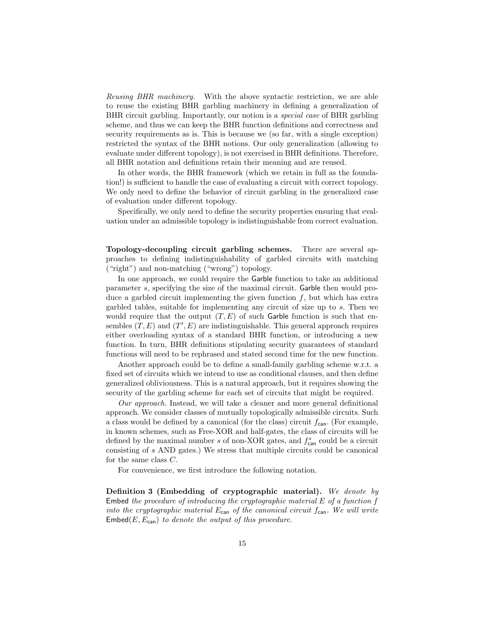Reusing BHR machinery. With the above syntactic restriction, we are able to reuse the existing BHR garbling machinery in defining a generalization of BHR circuit garbling. Importantly, our notion is a special case of BHR garbling scheme, and thus we can keep the BHR function definitions and correctness and security requirements as is. This is because we (so far, with a single exception) restricted the syntax of the BHR notions. Our only generalization (allowing to evaluate under different topology), is not exercised in BHR definitions. Therefore, all BHR notation and definitions retain their meaning and are reused.

In other words, the BHR framework (which we retain in full as the foundation!) is sufficient to handle the case of evaluating a circuit with correct topology. We only need to define the behavior of circuit garbling in the generalized case of evaluation under different topology.

Specifically, we only need to define the security properties ensuring that evaluation under an admissible topology is indistinguishable from correct evaluation.

Topology-decoupling circuit garbling schemes. There are several approaches to defining indistinguishability of garbled circuits with matching ("right") and non-matching ("wrong") topology.

In one approach, we could require the Garble function to take an additional parameter s, specifying the size of the maximal circuit. Garble then would produce a garbled circuit implementing the given function  $f$ , but which has extra garbled tables, suitable for implementing any circuit of size up to s. Then we would require that the output  $(T, E)$  of such Garble function is such that ensembles  $(T, E)$  and  $(T', E)$  are indistinguishable. This general approach requires either overloading syntax of a standard BHR function, or introducing a new function. In turn, BHR definitions stipulating security guarantees of standard functions will need to be rephrased and stated second time for the new function.

Another approach could be to define a small-family garbling scheme w.r.t. a fixed set of circuits which we intend to use as conditional clauses, and then define generalized obliviousness. This is a natural approach, but it requires showing the security of the garbling scheme for each set of circuits that might be required.

Our approach. Instead, we will take a cleaner and more general definitional approach. We consider classes of mutually topologically admissible circuits. Such a class would be defined by a canonical (for the class) circuit  $f_{\text{can}}$ . (For example, in known schemes, such as Free-XOR and half-gates, the class of circuits will be defined by the maximal number s of non-XOR gates, and  $f_{\text{can}}^s$  could be a circuit consisting of s AND gates.) We stress that multiple circuits could be canonical for the same class C.

For convenience, we first introduce the following notation.

Definition 3 (Embedding of cryptographic material). We denote by Embed the procedure of introducing the cryptographic material E of a function f into the cryptographic material  $E_{\text{can}}$  of the canonical circuit  $f_{\text{can}}$ . We will write  $Embed(E, E_{can})$  to denote the output of this procedure.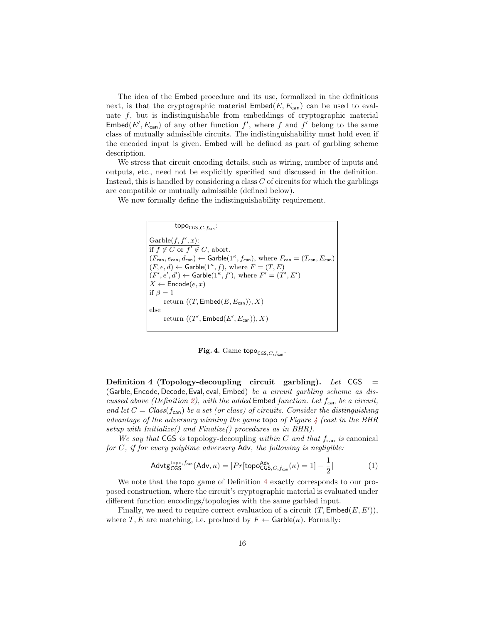The idea of the Embed procedure and its use, formalized in the definitions next, is that the cryptographic material  $\mathsf{Embed}(E, E_{\mathsf{can}})$  can be used to evaluate  $f$ , but is indistinguishable from embeddings of cryptographic material Embed(E',  $E_{\text{can}}$ ) of any other function f', where f and f' belong to the same class of mutually admissible circuits. The indistinguishability must hold even if the encoded input is given. Embed will be defined as part of garbling scheme description.

We stress that circuit encoding details, such as wiring, number of inputs and outputs, etc., need not be explicitly specified and discussed in the definition. Instead, this is handled by considering a class  $C$  of circuits for which the garblings are compatible or mutually admissible (defined below).

We now formally define the indistinguishability requirement.

```
\mathsf{topo}_{\mathsf{CGS},C,f_\mathsf{can}}\colonGarble(f, f', x):
if f \notin C or f' \notin C, abort.
(F_{\text{can}}, e_{\text{can}}, d_{\text{can}}) \leftarrow Garble(1^{\kappa}, f_{\text{can}}), where F_{\text{can}} = (T_{\text{can}}, E_{\text{can}})(F, e, d) \leftarrow Garble(1^{\kappa}, f), where F = (T, E)(F', e', d') \leftarrow Garble(1^{\kappa}, f'), where F' = (T', E')X \leftarrow Encode(e, x)if \beta = 1return ((T, \mathsf{Embed}(E, E_{\mathsf{can}})), X)else
        return ((T', \mathsf{Embed}(E', E_{\mathsf{can}})), X)
```
 $\mathbf{Fig. 4.}$  Game topo $_{\mathsf{CGS},C,f_{\mathsf{can}}}.$ 

<span id="page-15-1"></span><span id="page-15-0"></span>Definition 4 (Topology-decoupling circuit garbling). Let  $\mathsf{CGS}$ (Garble, Encode, Decode, Eval, eval, Embed) be a circuit garbling scheme as dis-cussed above (Definition [2\)](#page-13-2), with the added Embed function. Let  $f_{\text{can}}$  be a circuit, and let  $C = Class(f_{\text{can}})$  be a set (or class) of circuits. Consider the distinguishing advantage of the adversary winning the game topo of Figure  $4$  (cast in the BHR setup with Initialize() and Finalize() procedures as in BHR).

We say that CGS is topology-decoupling within C and that  $f_{\text{can}}$  is canonical for  $C$ , if for every polytime adversary  $\Delta d\mathsf{v}$ , the following is negligible:

$$
\mathsf{Advtg}_{\mathsf{CGS}}^{\mathsf{topo}, f_{\mathsf{can}}}( \mathsf{Adv}, \kappa) = |Pr[\mathsf{topo}_{\mathsf{CGS}, C, f_{\mathsf{can}}}^{\mathsf{Adv}}(\kappa) = 1] - \frac{1}{2}| \tag{1}
$$

We note that the topo game of Definition [4](#page-15-1) exactly corresponds to our proposed construction, where the circuit's cryptographic material is evaluated under different function encodings/topologies with the same garbled input.

<span id="page-15-2"></span>Finally, we need to require correct evaluation of a circuit  $(T, \mathsf{Embed}(E, E')),$ where T, E are matching, i.e. produced by  $F \leftarrow$  Garble( $\kappa$ ). Formally: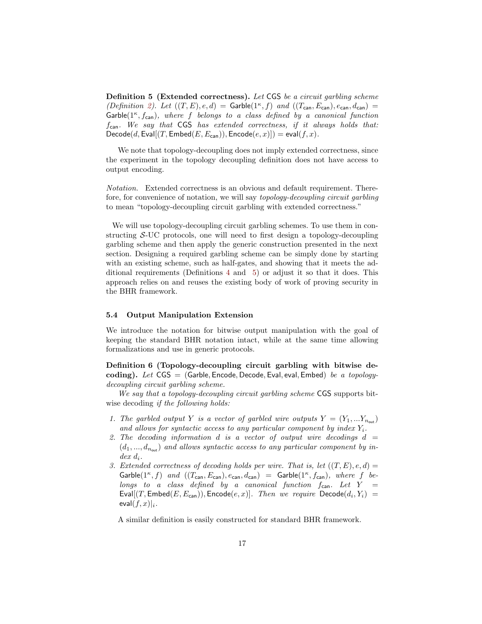Definition 5 (Extended correctness). Let CGS be a circuit garbling scheme (Definition [2\)](#page-13-2). Let  $((T, E), e, d) =$  Garble $(1<sup>\kappa</sup>, f)$  and  $((T_{can}, E_{can}), e_{can}, d_{can}) =$  $Garble(1\kappa, f_{can}),$  where f belongs to a class defined by a canonical function fcan. We say that CGS has extended correctness, if it always holds that:  $\text{Decode}(d, \text{Eval}[(T, \text{Embed}(E, E_{\text{can}})), \text{Encode}(e, x)]) = \text{eval}(f, x).$ 

We note that topology-decoupling does not imply extended correctness, since the experiment in the topology decoupling definition does not have access to output encoding.

Notation. Extended correctness is an obvious and default requirement. Therefore, for convenience of notation, we will say topology-decoupling circuit garbling to mean "topology-decoupling circuit garbling with extended correctness."

We will use topology-decoupling circuit garbling schemes. To use them in constructing  $S$ -UC protocols, one will need to first design a topology-decoupling garbling scheme and then apply the generic construction presented in the next section. Designing a required garbling scheme can be simply done by starting with an existing scheme, such as half-gates, and showing that it meets the additional requirements (Definitions [4](#page-15-1) and [5\)](#page-15-2) or adjust it so that it does. This approach relies on and reuses the existing body of work of proving security in the BHR framework.

## 5.4 Output Manipulation Extension

We introduce the notation for bitwise output manipulation with the goal of keeping the standard BHR notation intact, while at the same time allowing formalizations and use in generic protocols.

<span id="page-16-0"></span>Definition 6 (Topology-decoupling circuit garbling with bitwise decoding). Let  $CGS = (Garble, Encode, Decode, Eval, eval, Embed)$  be a topologydecoupling circuit garbling scheme.

We say that a topology-decoupling circuit garbling scheme CGS supports bitwise decoding if the following holds:

- 1. The garbled output Y is a vector of garbled wire outputs  $Y = (Y_1, \ldots, Y_{n_{\text{out}}})$ and allows for syntactic access to any particular component by index  $Y_i$ .
- 2. The decoding information d is a vector of output wire decodings  $d =$  $(d_1, ..., d_{n_{\text{out}}})$  and allows syntactic access to any particular component by in- $\text{d}ex\ d_i$ .
- 3. Extended correctness of decoding holds per wire. That is, let  $((T, E), e, d) =$ Garble $(1^{\kappa}, f)$  and  $((T_{\text{can}}, E_{\text{can}}), e_{\text{can}}, d_{\text{can}}) =$  Garble $(1^{\kappa}, f_{\text{can}})$ , where f belongs to a class defined by a canonical function  $f_{\text{can}}$ . Let  $Y =$  $\textsf{Eval}[(T, \textsf{Embed}(E, E_{\textsf{can}})), \textsf{Encode}(e, x)].$  Then we require  $\textsf{Decode}(d_i, Y_i) =$ eval $(f, x)|_i$ .

A similar definition is easily constructed for standard BHR framework.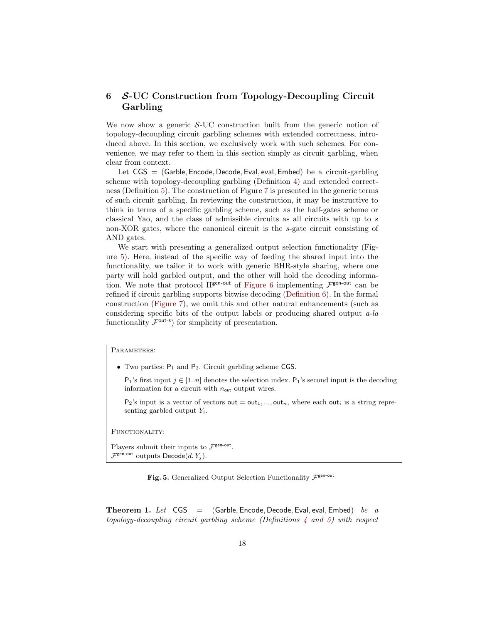# <span id="page-17-0"></span>6 S-UC Construction from Topology-Decoupling Circuit Garbling

We now show a generic  $S$ -UC construction built from the generic notion of topology-decoupling circuit garbling schemes with extended correctness, introduced above. In this section, we exclusively work with such schemes. For convenience, we may refer to them in this section simply as circuit garbling, when clear from context.

Let  $CGS = (Garble, Encode, Decode, Eval, eval, Embed)$  be a circuit-garbling scheme with topology-decoupling garbling (Definition [4\)](#page-15-1) and extended correctness (Definition [5\)](#page-15-2). The construction of Figure [7](#page-18-0) is presented in the generic terms of such circuit garbling. In reviewing the construction, it may be instructive to think in terms of a specific garbling scheme, such as the half-gates scheme or classical Yao, and the class of admissible circuits as all circuits with up to s non-XOR gates, where the canonical circuit is the s-gate circuit consisting of AND gates.

We start with presenting a generalized output selection functionality (Figure [5\)](#page-17-1). Here, instead of the specific way of feeding the shared input into the functionality, we tailor it to work with generic BHR-style sharing, where one party will hold garbled output, and the other will hold the decoding information. We note that protocol  $\Pi^{\text{gen-out}}$  of [Figure 6](#page-18-1) implementing  $\mathcal{F}^{\text{gen-out}}$  can be refined if circuit garbling supports bitwise decoding [\(Definition 6\)](#page-16-0). In the formal construction [\(Figure 7\)](#page-18-0), we omit this and other natural enhancements (such as considering specific bits of the output labels or producing shared output  $a$ -la functionality  $\mathcal{F}^{\text{out-s}}$  for simplicity of presentation.

PARAMETERS:

• Two parties:  $P_1$  and  $P_2$ . Circuit garbling scheme CGS.

P<sub>1</sub>'s first input  $j \in [1..n]$  denotes the selection index. P<sub>1</sub>'s second input is the decoding information for a circuit with  $n_{\text{out}}$  output wires.

 $P_2$ 's input is a vector of vectors out = out<sub>1</sub>,..., out<sub>n</sub>, where each out<sub>i</sub> is a string representing garbled output  $Y_i$ .

FUNCTIONALITY:

Players submit their inputs to  $\mathcal{F}^{\text{gen-out}}$ .  $\mathcal{F}^{\text{gen-out}}$  outputs Decode $(d, Y_j)$ .

<span id="page-17-1"></span>Fig. 5. Generalized Output Selection Functionality  $\mathcal{F}^{\text{gen-out}}$ 

**Theorem 1.** Let  $CGS = (Garble, Encode, Decode, Eval, eval, Embed)$  be a topology-decoupling circuit garbling scheme (Definitions [4](#page-15-1) and [5\)](#page-15-2) with respect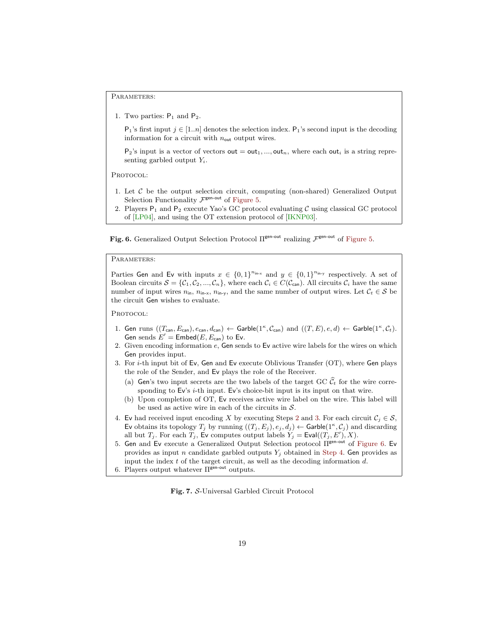PARAMETERS:

1. Two parties:  $P_1$  and  $P_2$ .

P<sub>1</sub>'s first input  $j \in [1..n]$  denotes the selection index. P<sub>1</sub>'s second input is the decoding information for a circuit with  $n_{\text{out}}$  output wires.

 $P_2$ 's input is a vector of vectors out = out<sub>1</sub>, ..., out<sub>n</sub>, where each out<sub>i</sub> is a string representing garbled output  $Y_i$ .

PROTOCOL:

- 1. Let  $C$  be the output selection circuit, computing (non-shared) Generalized Output Selection Functionality  $\mathcal{F}^{\text{gen-out}}$  of [Figure 5.](#page-17-1)
- <span id="page-18-1"></span>2. Players  $P_1$  and  $P_2$  execute Yao's GC protocol evaluating C using classical GC protocol of [\[LP04\]](#page-0-0), and using the OT extension protocol of [\[IKNP03\]](#page-0-0).

Fig. 6. Generalized Output Selection Protocol  $\Pi^{\text{gen-out}}$  realizing  $\mathcal{F}^{\text{gen-out}}$  of [Figure 5.](#page-17-1)

## PARAMETERS:

Parties Gen and Ev with inputs  $x \in \{0,1\}^{n_{\text{in-x}}}$  and  $y \in \{0,1\}^{n_{\text{in-y}}}$  respectively. A set of Boolean circuits  $S = \{C_1, C_2, ..., C_n\}$ , where each  $C_i \in C(C_{\text{can}})$ . All circuits  $C_i$  have the same number of input wires  $n_{\text{in}}, n_{\text{in-x}}, n_{\text{in-y}},$  and the same number of output wires. Let  $\mathcal{C}_t \in \mathcal{S}$  be the circuit Gen wishes to evaluate.

PROTOCOL:

- <span id="page-18-5"></span>1. Gen runs  $((T_{\text{can}}, E_{\text{can}}), e_{\text{can}}, d_{\text{can}}) \leftarrow \text{Garble}(1^{\kappa}, C_{\text{can}})$  and  $((T, E), e, d) \leftarrow \text{Garble}(1^{\kappa}, C_t)$ . Gen sends  $E' = \mathsf{Embed}(E, E_{\mathsf{can}})$  to Ev.
- <span id="page-18-2"></span>2. Given encoding information  $e$ , Gen sends to Ev active wire labels for the wires on which Gen provides input.
- <span id="page-18-3"></span>3. For  $i$ -th input bit of Ev, Gen and Ev execute Oblivious Transfer (OT), where Gen plays the role of the Sender, and Ev plays the role of the Receiver.
	- (a) Gen's two input secrets are the two labels of the target GC  $\hat{\mathcal{C}}_t$  for the wire corresponding to  $Ev$ 's *i*-th input. Ev's choice-bit input is its input on that wire.
	- (b) Upon completion of OT, Ev receives active wire label on the wire. This label will be used as active wire in each of the circuits in  $S$ .
- <span id="page-18-4"></span>4. Ev had received input encoding X by executing Steps [2](#page-18-2) and [3.](#page-18-3) For each circuit  $C_i \in \mathcal{S}$ , Ev obtains its topology  $T_j$  by running  $((T_j, E_j), e_j, d_j) \leftarrow$  Garble $(1^{\kappa}, C_j)$  and discarding all but  $T_j$ . For each  $T_j$ , Ev computes output labels  $Y_j = \text{Eval}((T_j, E'), X)$ .
- <span id="page-18-6"></span>5. Gen and Ev execute a Generalized Output Selection protocol Πgen-out of [Figure 6.](#page-18-1) Ev provides as input n candidate garbled outputs  $Y_j$  obtained in [Step 4.](#page-18-4) Gen provides as input the index  $t$  of the target circuit, as well as the decoding information  $d$ .
- 6. Players output whatever  $\Pi^{\text{gen-out}}$  outputs.

<span id="page-18-0"></span>Fig. 7. S-Universal Garbled Circuit Protocol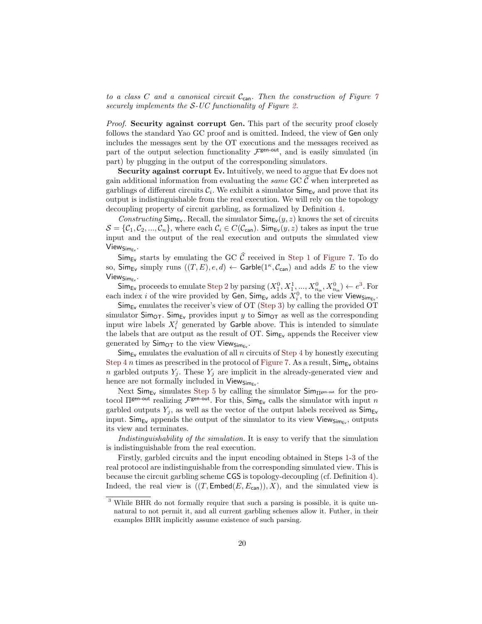to a class C and a canonical circuit  $C_{can}$ . Then the construction of Figure [7](#page-18-0) securely implements the S-UC functionality of Figure [2.](#page-9-0)

*Proof.* Security against corrupt Gen. This part of the security proof closely follows the standard Yao GC proof and is omitted. Indeed, the view of Gen only includes the messages sent by the OT executions and the messages received as part of the output selection functionality  $\mathcal{F}^{\text{gen-out}}$ , and is easily simulated (in part) by plugging in the output of the corresponding simulators.

Security against corrupt Ev. Intuitively, we need to argue that Ev does not gain additional information from evaluating the *same* GC  $\tilde{C}$  when interpreted as garblings of different circuits  $C_i$ . We exhibit a simulator  $\mathsf{Sim}_{\mathsf{Ev}}$  and prove that its output is indistinguishable from the real execution. We will rely on the topology decoupling property of circuit garbling, as formalized by Definition [4.](#page-15-1)

Constructing  $\mathsf{Sim}_{\mathsf{Ev}}$ . Recall, the simulator  $\mathsf{Sim}_{\mathsf{Ev}}(y, z)$  knows the set of circuits  $S = \{C_1, C_2, ..., C_n\}$ , where each  $C_i \in C(C_{\text{can}})$ . Sim<sub>Ev</sub> $(y, z)$  takes as input the true input and the output of the real execution and outputs the simulated view View $_{\mathsf{Sim}_{\mathsf{Ev}}}$ .

 $\mathsf{Sim}_{\mathsf{Ev}}$  starts by emulating the GC  $\widehat{\mathcal{C}}$  received in [Step 1](#page-18-5) of [Figure 7.](#page-18-0) To do so,  $\textsf{Sim}_{\textsf{Ev}}$  simply runs  $((T, E), e, d) \leftarrow \textsf{Garble}(1^{\kappa}, \mathcal{C}_{\textsf{can}})$  and adds E to the view View $_{\mathsf{Sim}_{\mathsf{Ev}}}$ .

 $\textsf{Sim}_{\textsf{Ev}}$  proceeds to emulate [Step 2](#page-18-2) by parsing  $(X_1^0, X_1^1, ..., X_{n_{\text{in}}}^0, X_{n_{\text{in}}}^0) \leftarrow e^3$  $(X_1^0, X_1^1, ..., X_{n_{\text{in}}}^0, X_{n_{\text{in}}}^0) \leftarrow e^3$ . For each index *i* of the wire provided by Gen,  $\mathsf{Sim}_{\mathsf{Ev}}$  adds  $X_i^0$ , to the view View $_{\mathsf{Sim}_{\mathsf{Ev}}}$ .

 $\mathsf{Sim}_{\mathsf{Ev}}$  emulates the receiver's view of OT [\(Step 3\)](#page-18-3) by calling the provided OT simulator  $\mathsf{Sim}_{\mathsf{OT}}$ .  $\mathsf{Sim}_{\mathsf{Ev}}$  provides input y to  $\mathsf{Sim}_{\mathsf{OT}}$  as well as the corresponding input wire labels  $X_i^j$  generated by Garble above. This is intended to simulate the labels that are output as the result of  $OT$ . Sim<sub>Ev</sub> appends the Receiver view generated by  $\mathsf{Sim}_{\mathsf{OT}}$  to the view View $_{\mathsf{Sim}_{\mathsf{Fv}}}$ .

 $\mathsf{Sim}_{\mathsf{Fv}}$  emulates the evaluation of all n circuits of [Step 4](#page-18-4) by honestly executing [Step 4](#page-18-4) n times as prescribed in the protocol of [Figure 7.](#page-18-0) As a result,  $\mathsf{Sim}_{\mathsf{Ev}}$  obtains n garbled outputs  $Y_j$ . These  $Y_j$  are implicit in the already-generated view and hence are not formally included in View $_{Sim_{Ev}}$ .

Next  $\mathsf{Sim}_{\mathsf{Ev}}$  simulates [Step 5](#page-18-6) by calling the simulator  $\mathsf{Sim}_{\Pi^{\mathsf{gen-out}}}$  for the protocol  $\Pi^{\text{gen-out}}$  realizing  $\mathcal{F}^{\text{gen-out}}$ . For this,  $\text{Sim}_{\text{Ev}}$  calls the simulator with input n garbled outputs  $Y_j$ , as well as the vector of the output labels received as  $\mathsf{Sim}_{\mathsf{Ev}}$ input. Sim<sub>Ev</sub> appends the output of the simulator to its view View<sub>Sim<sub>Ev</sub>, outputs</sub> its view and terminates.

Indistinguishability of the simulation. It is easy to verify that the simulation is indistinguishable from the real execution.

Firstly, garbled circuits and the input encoding obtained in Steps [1-](#page-18-5)[3](#page-18-3) of the real protocol are indistinguishable from the corresponding simulated view. This is because the circuit garbling scheme CGS is topology-decoupling (cf. Definition [4\)](#page-15-1). Indeed, the real view is  $((T, \text{Embed}(E, E_{can})), X)$ , and the simulated view is

<span id="page-19-0"></span><sup>3</sup> While BHR do not formally require that such a parsing is possible, it is quite unnatural to not permit it, and all current garbling schemes allow it. Futher, in their examples BHR implicitly assume existence of such parsing.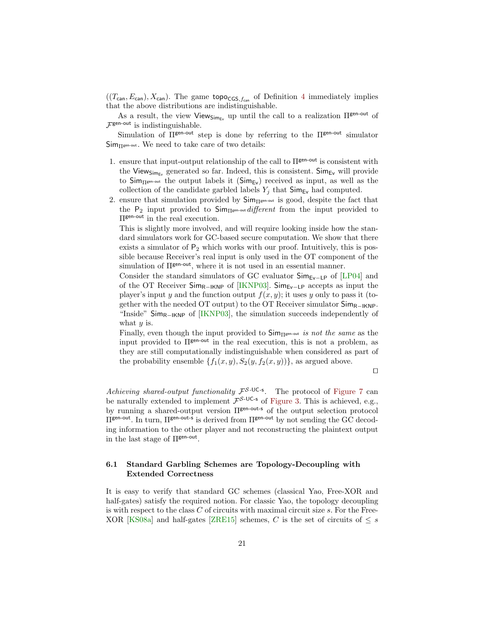$((T_{\text{can}}, E_{\text{can}}), X_{\text{can}})$ . The game topo<sub>CGS, f<sub>can</sub> of Definition [4](#page-15-1) immediately implies</sub> that the above distributions are indistinguishable.

As a result, the view View<sub>SimEv</sub> up until the call to a realization  $\Pi^{\text{gen-out}}$  of F gen-out is indistinguishable.

Simulation of Π<sup>gen-out</sup> step is done by referring to the Π<sup>gen-out</sup> simulator  $\mathsf{Sim}_{\Pi^{\text{gen-out}}}$ . We need to take care of two details:

- 1. ensure that input-output relationship of the call to  $\Pi^{\text{gen-out}}$  is consistent with the View $_{Sim_{Ev}}$  generated so far. Indeed, this is consistent.  $Sim_{Ev}$  will provide to  $\mathsf{Sim}_{\Pi^{\text{gen-out}}}$  the output labels it  $(\mathsf{Sim}_{\mathsf{Ev}})$  received as input, as well as the collection of the candidate garbled labels  $Y_j$  that  $\mathsf{Sim}_{\mathsf{Ev}}$  had computed.
- 2. ensure that simulation provided by  $\mathsf{Sim}_{\Pi^{\text{gen-out}}}$  is good, despite the fact that the  $P_2$  input provided to  $\lim_{\text{II} \in \mathbb{R}^n}$  out different from the input provided to Πgen-out in the real execution.

This is slightly more involved, and will require looking inside how the standard simulators work for GC-based secure computation. We show that there exists a simulator of  $P_2$  which works with our proof. Intuitively, this is possible because Receiver's real input is only used in the OT component of the simulation of Π<sup>gen-out</sup>, where it is not used in an essential manner.

Consider the standard simulators of GC evaluator SimEv−LP of [\[LP04\]](#page-0-0) and of the OT Receiver Sim<sub>R−IKNP</sub> of [\[IKNP03\]](#page-0-0). Sim<sub>Ev−LP</sub> accepts as input the player's input y and the function output  $f(x, y)$ ; it uses y only to pass it (together with the needed OT output) to the OT Receiver simulator  $\mathsf{Sim}_{\mathsf{R-IKNP}}$ . "Inside"  $\text{Sim}_{\text{R-kNP}}$  of [\[IKNP03\]](#page-0-0), the simulation succeeds independently of what  $y$  is.

Finally, even though the input provided to  $\mathsf{Sim}_{\Pi^{\text{gen-out}}}$  is not the same as the input provided to  $\Pi^{\text{gen-out}}$  in the real execution, this is not a problem, as they are still computationally indistinguishable when considered as part of the probability ensemble  $\{f_1(x, y), S_2(y, f_2(x, y))\}$ , as argued above.

 $\Box$ 

Achieving shared-output functionality  $\mathcal{F}^{S-UC-s}$ . The protocol of [Figure 7](#page-18-0) can be naturally extended to implement  $\mathcal{F}^{S-UC-s}$  of [Figure 3.](#page-9-1) This is achieved, e.g., by running a shared-output version Π<sup>gen-out-s</sup> of the output selection protocol Πgen-out. In turn, Πgen-out-<sup>s</sup> is derived from Πgen-out by not sending the GC decoding information to the other player and not reconstructing the plaintext output in the last stage of  $\Pi^{\text{gen-out}}$ .

## <span id="page-20-0"></span>6.1 Standard Garbling Schemes are Topology-Decoupling with Extended Correctness

It is easy to verify that standard GC schemes (classical Yao, Free-XOR and half-gates) satisfy the required notion. For classic Yao, the topology decoupling is with respect to the class  $C$  of circuits with maximal circuit size  $s$ . For the Free-XOR [\[KS08a\]](#page-0-0) and half-gates [\[ZRE15\]](#page-0-0) schemes, C is the set of circuits of  $\leq s$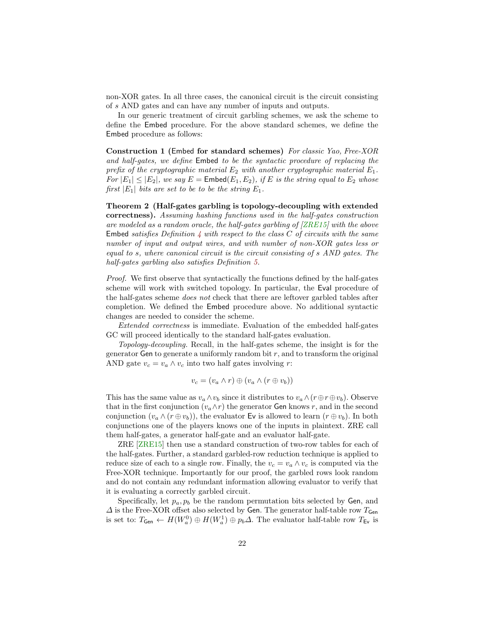non-XOR gates. In all three cases, the canonical circuit is the circuit consisting of s AND gates and can have any number of inputs and outputs.

In our generic treatment of circuit garbling schemes, we ask the scheme to define the Embed procedure. For the above standard schemes, we define the Embed procedure as follows:

Construction 1 (Embed for standard schemes) For classic Yao, Free-XOR and half-gates, we define Embed to be the syntactic procedure of replacing the prefix of the cryptographic material  $E_2$  with another cryptographic material  $E_1$ . For  $|E_1| \leq |E_2|$ , we say  $E = \text{Embed}(E_1, E_2)$ , if E is the string equal to  $E_2$  whose first  $|E_1|$  bits are set to be to be the string  $E_1$ .

Theorem 2 (Half-gates garbling is topology-decoupling with extended correctness). Assuming hashing functions used in the half-gates construction are modeled as a random oracle, the half-gates garbling of [\[ZRE15\]](#page-0-0) with the above Embed satisfies Definition [4](#page-15-1) with respect to the class  $C$  of circuits with the same number of input and output wires, and with number of non-XOR gates less or equal to s, where canonical circuit is the circuit consisting of s AND gates. The half-gates garbling also satisfies Definition [5.](#page-15-2)

Proof. We first observe that syntactically the functions defined by the half-gates scheme will work with switched topology. In particular, the Eval procedure of the half-gates scheme does not check that there are leftover garbled tables after completion. We defined the Embed procedure above. No additional syntactic changes are needed to consider the scheme.

Extended correctness is immediate. Evaluation of the embedded half-gates GC will proceed identically to the standard half-gates evaluation.

Topology-decoupling. Recall, in the half-gates scheme, the insight is for the generator Gen to generate a uniformly random bit  $r$ , and to transform the original AND gate  $v_c = v_a \wedge v_c$  into two half gates involving r:

$$
v_c = (v_a \wedge r) \oplus (v_a \wedge (r \oplus v_b))
$$

This has the same value as  $v_a \wedge v_b$  since it distributes to  $v_a \wedge (r \oplus r \oplus v_b)$ . Observe that in the first conjunction  $(v_a \wedge r)$  the generator Gen knows r, and in the second conjunction  $(v_a \wedge (r \oplus v_b))$ , the evaluator Ev is allowed to learn  $(r \oplus v_b)$ . In both conjunctions one of the players knows one of the inputs in plaintext. ZRE call them half-gates, a generator half-gate and an evaluator half-gate.

ZRE [\[ZRE15\]](#page-0-0) then use a standard construction of two-row tables for each of the half-gates. Further, a standard garbled-row reduction technique is applied to reduce size of each to a single row. Finally, the  $v_c = v_a \wedge v_c$  is computed via the Free-XOR technique. Importantly for our proof, the garbled rows look random and do not contain any redundant information allowing evaluator to verify that it is evaluating a correctly garbled circuit.

Specifically, let  $p_a, p_b$  be the random permutation bits selected by Gen, and  $\Delta$  is the Free-XOR offset also selected by Gen. The generator half-table row  $T_{Gen}$ is set to:  $T_{Gen} \leftarrow H(W_a^0) \oplus H(W_a^1) \oplus p_b \Delta$ . The evaluator half-table row  $T_{Ev}$  is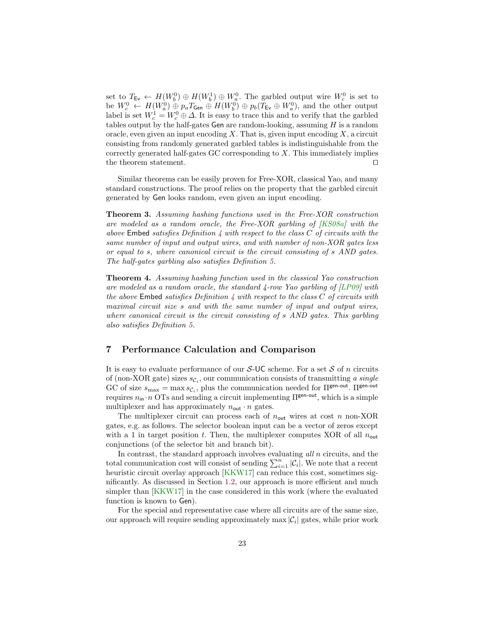set to  $T_{\text{Ev}} \leftarrow H(W_b^0) \oplus H(W_b^1) \oplus W_a^0$ . The garbled output wire  $W_c^0$  is set to be  $W_c^0 \leftarrow H(W_a^0) \oplus p_a T_{Gen} \oplus H(W_b^0) \oplus p_b (T_{Ev} \oplus W_a^0)$ , and the other output label is set  $W_c^1 = W_c^0 \oplus \Delta$ . It is easy to trace this and to verify that the garbled tables output by the half-gates Gen are random-looking, assuming  $H$  is a random oracle, even given an input encoding  $X$ . That is, given input encoding  $X$ , a circuit consisting from randomly generated garbled tables is indistinguishable from the correctly generated half-gates GC corresponding to X. This immediately implies the theorem statement.  $\Box$ 

Similar theorems can be easily proven for Free-XOR, classical Yao, and many standard constructions. The proof relies on the property that the garbled circuit generated by Gen looks random, even given an input encoding.

Theorem 3. Assuming hashing functions used in the Free-XOR construction are modeled as a random oracle, the Free-XOR garbling of [\[KS08a\]](#page-0-0) with the above Embed satisfies Definition  $\frac{1}{4}$  $\frac{1}{4}$  $\frac{1}{4}$  with respect to the class C of circuits with the same number of input and output wires, and with number of non-XOR gates less or equal to s, where canonical circuit is the circuit consisting of s AND gates. The half-gates garbling also satisfies Definition [5.](#page-15-2)

Theorem 4. Assuming hashing function used in the classical Yao construction are modeled as a random oracle, the standard 4-row Yao garbling of [\[LP09\]](#page-0-0) with the above Embed satisfies Definition [4](#page-15-1) with respect to the class  $C$  of circuits with maximal circuit size s and with the same number of input and output wires, where canonical circuit is the circuit consisting of s AND gates. This garbling also satisfies Definition [5.](#page-15-2)

## <span id="page-22-0"></span>7 Performance Calculation and Comparison

It is easy to evaluate performance of our  $S$ -UC scheme. For a set S of n circuits of (non-XOR gate) sizes  $s_{\mathcal{C}_i}$ , our communication consists of transmitting a single GC of size  $s_{\text{max}} = \max s_{\mathcal{C}_i}$ , plus the communication needed for  $\Pi^{\text{gen-out}}$ .  $\Pi^{\text{gen-out}}$ requires  $n_{\text{in}} \cdot n$  OTs and sending a circuit implementing  $\Pi^{\text{gen-out}}$ , which is a simple multiplexer and has approximately  $n_{\text{out}} \cdot n$  gates.

The multiplexer circuit can process each of  $n_{\text{out}}$  wires at cost n non-XOR gates, e.g. as follows. The selector boolean input can be a vector of zeros except with a 1 in target position t. Then, the multiplexer computes XOR of all  $n_{\text{out}}$ conjunctions (of the selector bit and branch bit).

In contrast, the standard approach involves evaluating all n circuits, and the total communication cost will consist of sending  $\sum_{i=1}^{n} |\mathcal{C}_i|$ . We note that a recent heuristic circuit overlay approach [\[KKW17\]](#page-0-0) can reduce this cost, sometimes significantly. As discussed in Section [1.2,](#page-3-0) our approach is more efficient and much simpler than [\[KKW17\]](#page-0-0) in the case considered in this work (where the evaluated function is known to Gen).

For the special and representative case where all circuits are of the same size, our approach will require sending approximately max  $|\mathcal{C}_i|$  gates, while prior work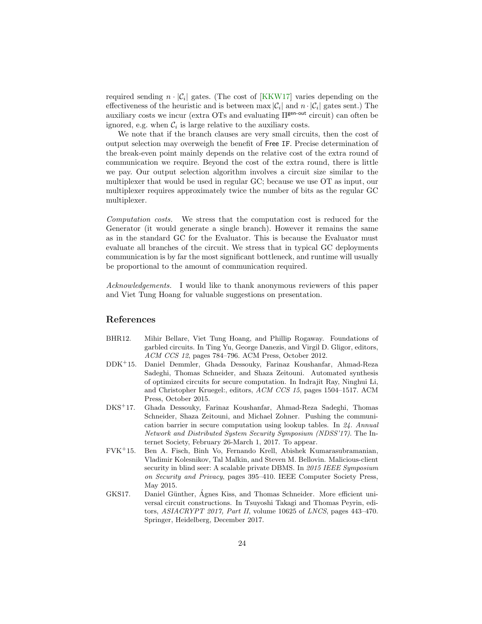required sending  $n \cdot |\mathcal{C}_i|$  gates. (The cost of [\[KKW17\]](#page-0-0) varies depending on the effectiveness of the heuristic and is between  $\max |\mathcal{C}_i|$  and  $n \cdot |\mathcal{C}_i|$  gates sent.) The auxiliary costs we incur (extra OTs and evaluating  $\Pi^{\text{gen-out}}$  circuit) can often be ignored, e.g. when  $C_i$  is large relative to the auxiliary costs.

We note that if the branch clauses are very small circuits, then the cost of output selection may overweigh the benefit of Free IF. Precise determination of the break-even point mainly depends on the relative cost of the extra round of communication we require. Beyond the cost of the extra round, there is little we pay. Our output selection algorithm involves a circuit size similar to the multiplexer that would be used in regular GC; because we use OT as input, our multiplexer requires approximately twice the number of bits as the regular GC multiplexer.

Computation costs. We stress that the computation cost is reduced for the Generator (it would generate a single branch). However it remains the same as in the standard GC for the Evaluator. This is because the Evaluator must evaluate all branches of the circuit. We stress that in typical GC deployments communication is by far the most significant bottleneck, and runtime will usually be proportional to the amount of communication required.

Acknowledgements. I would like to thank anonymous reviewers of this paper and Viet Tung Hoang for valuable suggestions on presentation.

## References

- BHR12. Mihir Bellare, Viet Tung Hoang, and Phillip Rogaway. Foundations of garbled circuits. In Ting Yu, George Danezis, and Virgil D. Gligor, editors, ACM CCS 12, pages 784–796. ACM Press, October 2012.
- DDK<sup>+</sup>15. Daniel Demmler, Ghada Dessouky, Farinaz Koushanfar, Ahmad-Reza Sadeghi, Thomas Schneider, and Shaza Zeitouni. Automated synthesis of optimized circuits for secure computation. In Indrajit Ray, Ninghui Li, and Christopher Kruegel:, editors, ACM CCS 15, pages 1504–1517. ACM Press, October 2015.
- DKS<sup>+</sup>17. Ghada Dessouky, Farinaz Koushanfar, Ahmad-Reza Sadeghi, Thomas Schneider, Shaza Zeitouni, and Michael Zohner. Pushing the communication barrier in secure computation using lookup tables. In 24. Annual Network and Distributed System Security Symposium (NDSS'17). The Internet Society, February 26-March 1, 2017. To appear.
- FVK<sup>+</sup>15. Ben A. Fisch, Binh Vo, Fernando Krell, Abishek Kumarasubramanian, Vladimir Kolesnikov, Tal Malkin, and Steven M. Bellovin. Malicious-client security in blind seer: A scalable private DBMS. In 2015 IEEE Symposium on Security and Privacy, pages 395–410. IEEE Computer Society Press, May 2015.
- GKS17. Daniel Günther, Ágnes Kiss, and Thomas Schneider. More efficient universal circuit constructions. In Tsuyoshi Takagi and Thomas Peyrin, editors, ASIACRYPT 2017, Part II, volume 10625 of LNCS, pages 443–470. Springer, Heidelberg, December 2017.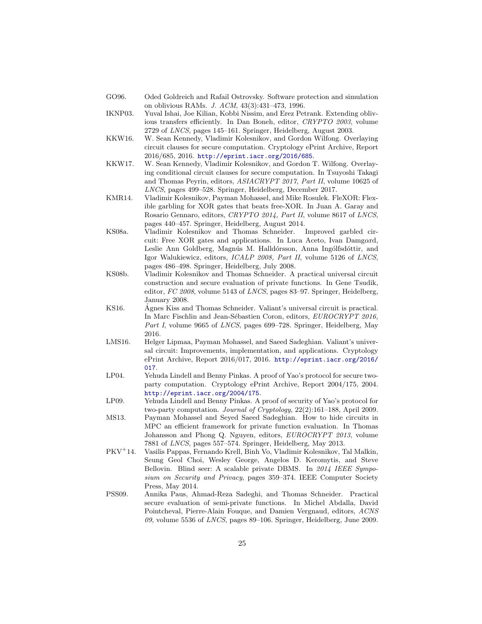- GO96. Oded Goldreich and Rafail Ostrovsky. Software protection and simulation on oblivious RAMs. J. ACM, 43(3):431–473, 1996.
- IKNP03. Yuval Ishai, Joe Kilian, Kobbi Nissim, and Erez Petrank. Extending oblivious transfers efficiently. In Dan Boneh, editor, CRYPTO 2003, volume 2729 of LNCS, pages 145–161. Springer, Heidelberg, August 2003.
- KKW16. W. Sean Kennedy, Vladimir Kolesnikov, and Gordon Wilfong. Overlaying circuit clauses for secure computation. Cryptology ePrint Archive, Report 2016/685, 2016. <http://eprint.iacr.org/2016/685>.
- KKW17. W. Sean Kennedy, Vladimir Kolesnikov, and Gordon T. Wilfong. Overlaying conditional circuit clauses for secure computation. In Tsuyoshi Takagi and Thomas Peyrin, editors, ASIACRYPT 2017, Part II, volume 10625 of LNCS, pages 499–528. Springer, Heidelberg, December 2017.
- KMR14. Vladimir Kolesnikov, Payman Mohassel, and Mike Rosulek. FleXOR: Flexible garbling for XOR gates that beats free-XOR. In Juan A. Garay and Rosario Gennaro, editors, CRYPTO 2014, Part II, volume 8617 of LNCS, pages 440–457. Springer, Heidelberg, August 2014.
- KS08a. Vladimir Kolesnikov and Thomas Schneider. Improved garbled circuit: Free XOR gates and applications. In Luca Aceto, Ivan Damgαrd, Leslie Ann Goldberg, Magnús M. Halldórsson, Anna Ingólfsdóttir, and Igor Walukiewicz, editors, ICALP 2008, Part II, volume 5126 of LNCS, pages 486–498. Springer, Heidelberg, July 2008.
- KS08b. Vladimir Kolesnikov and Thomas Schneider. A practical universal circuit construction and secure evaluation of private functions. In Gene Tsudik, editor,  $FC 2008$ , volume 5143 of *LNCS*, pages 83–97. Springer, Heidelberg, January 2008.
- KS16. Agnes Kiss and Thomas Schneider. Valiant's universal circuit is practical. In Marc Fischlin and Jean-Sébastien Coron, editors, EUROCRYPT 2016, Part I, volume 9665 of LNCS, pages 699–728. Springer, Heidelberg, May 2016.
- LMS16. Helger Lipmaa, Payman Mohassel, and Saeed Sadeghian. Valiant's universal circuit: Improvements, implementation, and applications. Cryptology ePrint Archive, Report 2016/017, 2016. [http://eprint.iacr.org/2016/](http://eprint.iacr.org/2016/017) [017](http://eprint.iacr.org/2016/017).
- LP04. Yehuda Lindell and Benny Pinkas. A proof of Yao's protocol for secure twoparty computation. Cryptology ePrint Archive, Report 2004/175, 2004. <http://eprint.iacr.org/2004/175>.
- LP09. Yehuda Lindell and Benny Pinkas. A proof of security of Yao's protocol for two-party computation. Journal of Cryptology, 22(2):161–188, April 2009.
- MS13. Payman Mohassel and Seyed Saeed Sadeghian. How to hide circuits in MPC an efficient framework for private function evaluation. In Thomas Johansson and Phong Q. Nguyen, editors,  $EUROCRYPT 2013$ , volume 7881 of LNCS, pages 557–574. Springer, Heidelberg, May 2013.
- PKV<sup>+</sup>14. Vasilis Pappas, Fernando Krell, Binh Vo, Vladimir Kolesnikov, Tal Malkin, Seung Geol Choi, Wesley George, Angelos D. Keromytis, and Steve Bellovin. Blind seer: A scalable private DBMS. In 2014 IEEE Symposium on Security and Privacy, pages 359–374. IEEE Computer Society Press, May 2014.
- PSS09. Annika Paus, Ahmad-Reza Sadeghi, and Thomas Schneider. Practical secure evaluation of semi-private functions. In Michel Abdalla, David Pointcheval, Pierre-Alain Fouque, and Damien Vergnaud, editors, ACNS 09, volume 5536 of  $LNCS$ , pages 89–106. Springer, Heidelberg, June 2009.